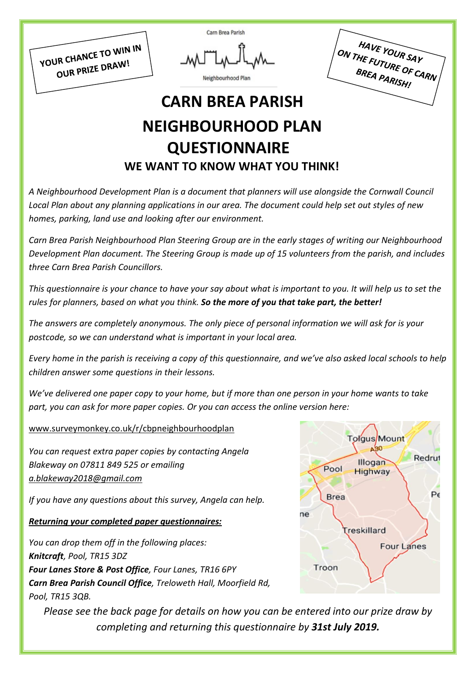YOUR CHANCE TO WIN IN OUR PRIZE DRAW!

Neighbourhood Plan

Carn Brea Parish

HAVE YOUR SAY HAVE YOUR SAY<br>ON THE FUTURE OF CARN BREA PARISH!

# **CARN BREA PARISH NEIGHBOURHOOD PLAN QUESTIONNAIRE**

# **WE WANT TO KNOW WHAT YOU THINK!**

*A Neighbourhood Development Plan is a document that planners will use alongside the Cornwall Council* Local Plan about any planning applications in our area. The document could help set out styles of new *homes, parking, land use and looking after our environment.*

*Carn Brea Parish Neighbourhood Plan Steering Group are in the early stages of writing our Neighbourhood Development Plan document. The Steering Group is made up of 15 volunteers from the parish, and includes three Carn Brea Parish Councillors.*

This questionnaire is your chance to have your say about what is important to you. It will help us to set the *rules for planners, based on what you think. So the more of you that take part, the better!*

*The answers are completely anonymous. The only piece of personal information we will ask for is your postcode, so we can understand what is important in your local area.*

Every home in the parish is receiving a copy of this questionnaire, and we've also asked local schools to help *children answer some questions in their lessons.*

We've delivered one paper copy to your home, but if more than one person in your home wants to take *part, you can ask for more paper copies. Or you can access the online version here:*

[www.surveymonkey.co.uk/r/cbpneighbourhoodplan](http://www.surveymonkey.co.uk/r/cbpneighbourhoodplan)

*You can request extra paper copies by contacting Angela Blakeway on 07811 849 525 or emailing [a.blakeway2018@gmail.com](mailto:a.blakeway2018@gmail.com)*

*If you have any questions about this survey, Angela can help.*

### *Returning your completed paper questionnaires:*

*You can drop them off in the following places: Knitcraft, Pool, TR15 3DZ Four Lanes Store & Post Office, Four Lanes, TR16 6PY Carn Brea Parish Council Office, Treloweth Hall, Moorfield Rd, Pool, TR15 3QB.*

*Please see the back page for details on how you can be entered into our prize draw by completing and returning this questionnaire by 31st July 2019.*

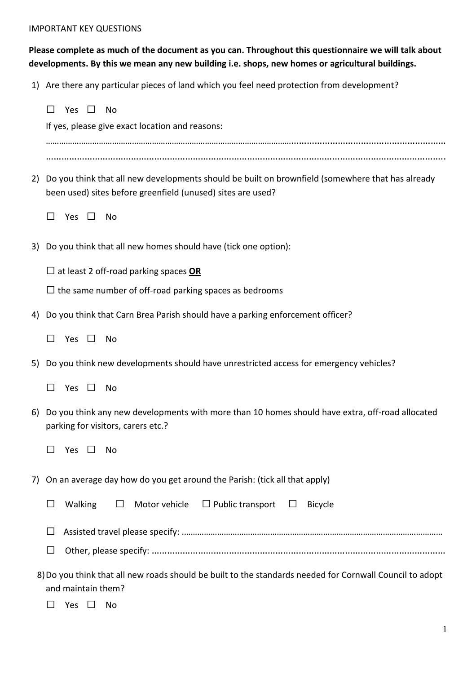#### IMPORTANT KEY QUESTIONS

### **Please complete as much of the document as you can. Throughout this questionnaire we will talk about developments. By this we mean any new building i.e. shops, new homes or agricultural buildings.**

1) Are there any particular pieces of land which you feel need protection from development?

|    | Yes<br>No<br>If yes, please give exact location and reasons:                                                                                                    |
|----|-----------------------------------------------------------------------------------------------------------------------------------------------------------------|
|    |                                                                                                                                                                 |
|    |                                                                                                                                                                 |
| 2) | Do you think that all new developments should be built on brownfield (somewhere that has already<br>been used) sites before greenfield (unused) sites are used? |
|    | Yes $\Box$<br>- No                                                                                                                                              |
|    | 3) Do you think that all new homes should have (tick one option):                                                                                               |
|    | $\Box$ at least 2 off-road parking spaces <b>OR</b>                                                                                                             |
|    | $\Box$ the same number of off-road parking spaces as bedrooms                                                                                                   |
| 4) | Do you think that Carn Brea Parish should have a parking enforcement officer?                                                                                   |
|    | Yes<br>$\perp$<br>No                                                                                                                                            |
| 5) | Do you think new developments should have unrestricted access for emergency vehicles?                                                                           |
|    | $\perp$<br>Yes<br>$\Box$<br>No                                                                                                                                  |
| 6) | Do you think any new developments with more than 10 homes should have extra, off-road allocated<br>parking for visitors, carers etc.?                           |
|    | Yes<br>No<br>$\mathbf{1}$                                                                                                                                       |
|    | 7) On an average day how do you get around the Parish: (tick all that apply)                                                                                    |
|    | Motor vehicle $\Box$ Public transport $\Box$<br>Walking<br>$\Box$<br><b>Bicycle</b>                                                                             |
|    |                                                                                                                                                                 |
|    |                                                                                                                                                                 |
|    | 8) Do you think that all new roads should be built to the standards needed for Cornwall Council to adopt<br>and maintain them?                                  |

◻ Yes ◻ No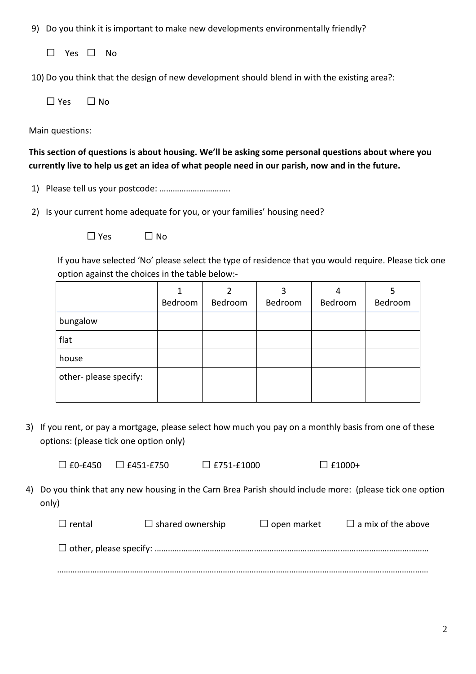9) Do you think it is important to make new developments environmentally friendly?

◻ Yes ◻ No

10) Do you think that the design of new development should blend in with the existing area?:

| $\Box$ Yes | $\Box$ No |
|------------|-----------|
|            |           |

#### Main questions:

**This section of questions is about housing. We'll be asking some personal questions about where you** currently live to help us get an idea of what people need in our parish, now and in the future.

1) Please tell us your postcode: …………………………..

2) Is your current home adequate for you, or your families' housing need?

 $\square$  Yes  $\square$  No

If you have selected 'No' please select the type of residence that you would require. Please tick one option against the choices in the table below:-

|                        | Bedroom | Bedroom | 3<br>Bedroom | 4<br>Bedroom | Bedroom |
|------------------------|---------|---------|--------------|--------------|---------|
| bungalow               |         |         |              |              |         |
| flat                   |         |         |              |              |         |
| house                  |         |         |              |              |         |
| other- please specify: |         |         |              |              |         |

3) If you rent, or pay a mortgage, please select how much you pay on a monthly basis from one of these options: (please tick one option only)

 $\Box$  £0-£450  $\Box$  £451-£750  $\Box$  £751-£1000  $\Box$  £1000+

4) Do you think that any new housing in the Carn Brea Parish should include more: (please tick one option only)

| $\Box$ rental | $\Box$ shared ownership | $\Box$ open market | $\Box$ a mix of the above |
|---------------|-------------------------|--------------------|---------------------------|
|               |                         |                    |                           |
|               |                         |                    |                           |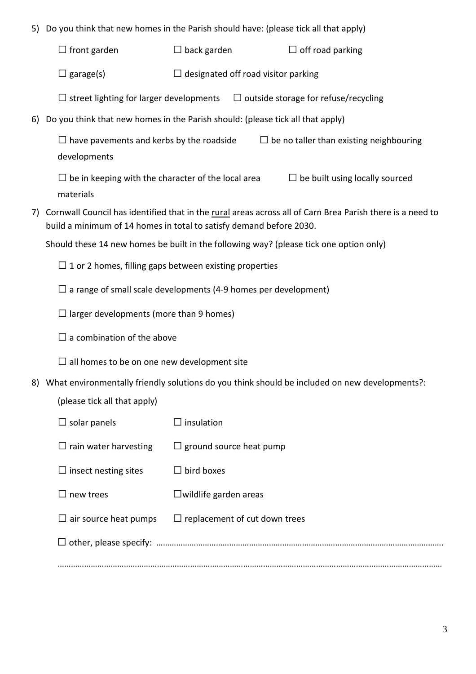- 5) Do you think that new homes in the Parish should have: (please tick all that apply)
	- $\Box$  front garden  $\Box$  back garden  $\Box$  off road parking
	- $\square$  garage(s)  $\square$  designated off road visitor parking
	- $\Box$  street lighting for larger developments  $\Box$  outside storage for refuse/recycling
- 6) Do you think that new homes in the Parish should: (please tick all that apply)

 $□$  have pavements and kerbs by the roadside  $□$  be no taller than existing neighbouring developments

 $\Box$  be in keeping with the character of the local area  $\Box$  be built using locally sourced materials

7) Cornwall Council has identified that in the rural areas across all of Carn Brea Parish there is a need to build a minimum of 14 homes in total to satisfy demand before 2030.

Should these 14 new homes be built in the following way? (please tick one option only)

- $\Box$  1 or 2 homes, filling gaps between existing properties
- $\square$  a range of small scale developments (4-9 homes per development)
- $\Box$  larger developments (more than 9 homes)
- $\square$  a combination of the above
- $\square$  all homes to be on one new development site
- 8) What environmentally friendly solutions do you think should be included on new developments?:

(please tick all that apply)

| $\Box$ solar panels          | insulation                           |  |  |  |
|------------------------------|--------------------------------------|--|--|--|
| $\Box$ rain water harvesting | $\Box$ ground source heat pump       |  |  |  |
| $\Box$ insect nesting sites  | bird boxes<br>$\mathsf{L}$           |  |  |  |
| $\Box$ new trees             | $\Box$ wildlife garden areas         |  |  |  |
| $\Box$ air source heat pumps | $\Box$ replacement of cut down trees |  |  |  |
|                              |                                      |  |  |  |
|                              |                                      |  |  |  |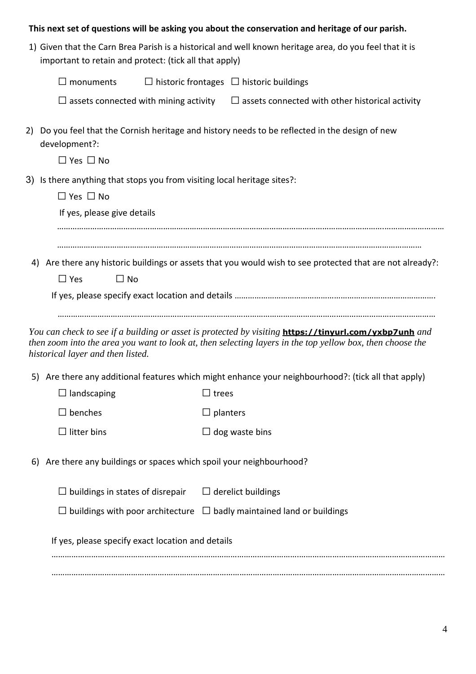### **This next set of questions will be asking you about the conservation and heritage of our parish.**

1) Given that the Carn Brea Parish is a historical and well known heritage area, do you feel that it is important to retain and protect: (tick all that apply)

| $\Box$ monuments | $\Box$ historic frontages $\Box$ historic buildings |  |
|------------------|-----------------------------------------------------|--|
|------------------|-----------------------------------------------------|--|

- $\Box$  assets connected with mining activity  $\Box$  assets connected with other historical activity
- 2) Do you feel that the Cornish heritage and history needs to be reflected in the design of new development?:

◻ Yes ◻ No

- 3) Is there anything that stops you from visiting local heritage sites?:
	- ◻ Yes ◻ No

If yes, please give details

…………………………………………………………………………………………………………………………………………………

………………………………………………………………………………………………………………………………….………………………

4) Are there any historic buildings or assets that you would wish to see protected that are not already?:

 $\square$  Yes  $\square$  No

If yes, please specify exact location and details ……………………………………………………………………………….

………………………………………………………………………………………………………………………………………………………

*You can check to see if a building or asset is protected by visiting* **<https://tinyurl.com/yxbp7unh>** *and* then zoom into the area you want to look at, then selecting layers in the top yellow box, then choose the *historical layer and then listed.*

- 5) Are there any additional features which might enhance your neighbourhood?: (tick all that apply)
	- $\Box$  landscaping  $\Box$  trees

 $\Box$  benches  $\Box$  planters

 $\Box$  litter bins  $\Box$  dog waste bins

6) Are there any buildings or spaces which spoil your neighbourhood?

 $\Box$  buildings in states of disrepair  $\Box$  derelict buildings

 $\Box$  buildings with poor architecture  $\Box$  badly maintained land or buildings

If yes, please specify exact location and details

………………………………………………………………………………………………….………………………………………………………… …………………………………………….………………………………………………………………………………………………………………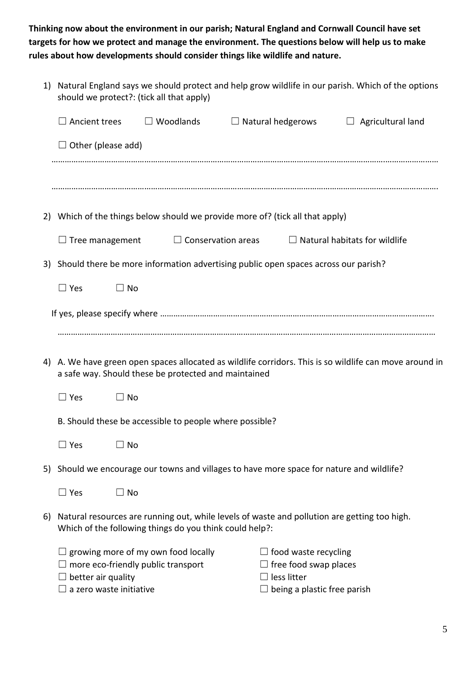**Thinking now about the environment in our parish; Natural England and Cornwall Council have set targets for how we protect and manage the environment. The questions below will help us to make rules about how developments should consider things like wildlife and nature.**

|    | 1) Natural England says we should protect and help grow wildlife in our parish. Which of the options<br>should we protect?: (tick all that apply) |                                                                                  |                                                                                              |                                                                                                           |                                                                                                         |  |
|----|---------------------------------------------------------------------------------------------------------------------------------------------------|----------------------------------------------------------------------------------|----------------------------------------------------------------------------------------------|-----------------------------------------------------------------------------------------------------------|---------------------------------------------------------------------------------------------------------|--|
|    | $\Box$ Ancient trees                                                                                                                              | $\Box$ Woodlands                                                                 | $\Box$ Natural hedgerows                                                                     |                                                                                                           | $\Box$ Agricultural land                                                                                |  |
|    | $\Box$ Other (please add)                                                                                                                         |                                                                                  |                                                                                              |                                                                                                           |                                                                                                         |  |
|    |                                                                                                                                                   |                                                                                  |                                                                                              |                                                                                                           |                                                                                                         |  |
|    |                                                                                                                                                   |                                                                                  |                                                                                              |                                                                                                           |                                                                                                         |  |
|    |                                                                                                                                                   |                                                                                  | 2) Which of the things below should we provide more of? (tick all that apply)                |                                                                                                           |                                                                                                         |  |
|    | $\Box$ Tree management                                                                                                                            |                                                                                  | $\Box$ Conservation areas                                                                    |                                                                                                           | $\Box$ Natural habitats for wildlife                                                                    |  |
|    |                                                                                                                                                   |                                                                                  | 3) Should there be more information advertising public open spaces across our parish?        |                                                                                                           |                                                                                                         |  |
|    | $\Box$ Yes                                                                                                                                        | $\Box$ No                                                                        |                                                                                              |                                                                                                           |                                                                                                         |  |
|    |                                                                                                                                                   |                                                                                  |                                                                                              |                                                                                                           |                                                                                                         |  |
|    |                                                                                                                                                   |                                                                                  |                                                                                              |                                                                                                           |                                                                                                         |  |
|    |                                                                                                                                                   | a safe way. Should these be protected and maintained                             |                                                                                              |                                                                                                           | 4) A. We have green open spaces allocated as wildlife corridors. This is so wildlife can move around in |  |
|    | $\Box$ Yes                                                                                                                                        | $\Box$ No                                                                        |                                                                                              |                                                                                                           |                                                                                                         |  |
|    |                                                                                                                                                   |                                                                                  | B. Should these be accessible to people where possible?                                      |                                                                                                           |                                                                                                         |  |
|    | $\Box$ Yes                                                                                                                                        | $\Box$ No                                                                        |                                                                                              |                                                                                                           |                                                                                                         |  |
|    |                                                                                                                                                   |                                                                                  | 5) Should we encourage our towns and villages to have more space for nature and wildlife?    |                                                                                                           |                                                                                                         |  |
|    | $\Box$ Yes                                                                                                                                        | $\Box$ No                                                                        |                                                                                              |                                                                                                           |                                                                                                         |  |
| 6) |                                                                                                                                                   | Which of the following things do you think could help?:                          | Natural resources are running out, while levels of waste and pollution are getting too high. |                                                                                                           |                                                                                                         |  |
|    | better air quality<br>a zero waste initiative                                                                                                     | $\Box$ growing more of my own food locally<br>more eco-friendly public transport |                                                                                              | $\Box$ food waste recycling<br>$\Box$ free food swap places<br>less litter<br>being a plastic free parish |                                                                                                         |  |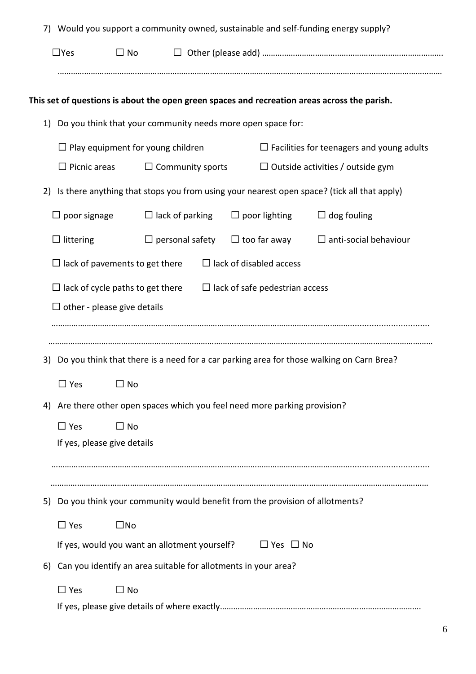|                                          | 7) Would you support a community owned, sustainable and self-funding energy supply? |                         |                                                                             |                                                                                              |  |  |  |
|------------------------------------------|-------------------------------------------------------------------------------------|-------------------------|-----------------------------------------------------------------------------|----------------------------------------------------------------------------------------------|--|--|--|
| $\Box$ Yes                               | $\Box$ No                                                                           |                         |                                                                             |                                                                                              |  |  |  |
|                                          |                                                                                     |                         |                                                                             |                                                                                              |  |  |  |
|                                          |                                                                                     |                         |                                                                             | This set of questions is about the open green spaces and recreation areas across the parish. |  |  |  |
|                                          | 1) Do you think that your community needs more open space for:                      |                         |                                                                             |                                                                                              |  |  |  |
| $\Box$ Play equipment for young children |                                                                                     |                         |                                                                             | $\Box$ Facilities for teenagers and young adults                                             |  |  |  |
| $\Box$ Picnic areas                      |                                                                                     | $\Box$ Community sports |                                                                             | $\Box$ Outside activities / outside gym                                                      |  |  |  |
| 2)                                       |                                                                                     |                         |                                                                             | Is there anything that stops you from using your nearest open space? (tick all that apply)   |  |  |  |
| $\Box$ poor signage                      |                                                                                     | $\Box$ lack of parking  | $\Box$ poor lighting                                                        | $\Box$ dog fouling                                                                           |  |  |  |
| $\Box$ littering                         |                                                                                     | $\Box$ personal safety  | $\Box$ too far away                                                         | $\Box$ anti-social behaviour                                                                 |  |  |  |
|                                          | $\Box$ lack of disabled access<br>$\Box$ lack of pavements to get there             |                         |                                                                             |                                                                                              |  |  |  |
|                                          |                                                                                     |                         |                                                                             |                                                                                              |  |  |  |
|                                          | $\Box$ lack of cycle paths to get there<br>$\Box$ lack of safe pedestrian access    |                         |                                                                             |                                                                                              |  |  |  |
|                                          | $\Box$ other - please give details                                                  |                         |                                                                             |                                                                                              |  |  |  |
|                                          |                                                                                     |                         |                                                                             |                                                                                              |  |  |  |
|                                          |                                                                                     |                         |                                                                             |                                                                                              |  |  |  |
|                                          |                                                                                     |                         |                                                                             |                                                                                              |  |  |  |
| 3)                                       |                                                                                     |                         |                                                                             | Do you think that there is a need for a car parking area for those walking on Carn Brea?     |  |  |  |
| $\Box$ Yes                               | $\square$ No                                                                        |                         |                                                                             |                                                                                              |  |  |  |
|                                          |                                                                                     |                         | Are there other open spaces which you feel need more parking provision?     |                                                                                              |  |  |  |
| $\Box$ Yes                               | $\Box$ No                                                                           |                         |                                                                             |                                                                                              |  |  |  |
|                                          | If yes, please give details                                                         |                         |                                                                             |                                                                                              |  |  |  |
| 4)                                       |                                                                                     |                         |                                                                             |                                                                                              |  |  |  |
|                                          |                                                                                     |                         |                                                                             |                                                                                              |  |  |  |
|                                          |                                                                                     |                         | Do you think your community would benefit from the provision of allotments? |                                                                                              |  |  |  |
| $\Box$ Yes                               | $\square$ No                                                                        |                         |                                                                             |                                                                                              |  |  |  |
|                                          |                                                                                     |                         | If yes, would you want an allotment yourself? $\Box$ Yes $\Box$ No          |                                                                                              |  |  |  |
|                                          |                                                                                     |                         | Can you identify an area suitable for allotments in your area?              |                                                                                              |  |  |  |
| 5)<br>6)<br>$\Box$ Yes                   | $\Box$ No                                                                           |                         |                                                                             |                                                                                              |  |  |  |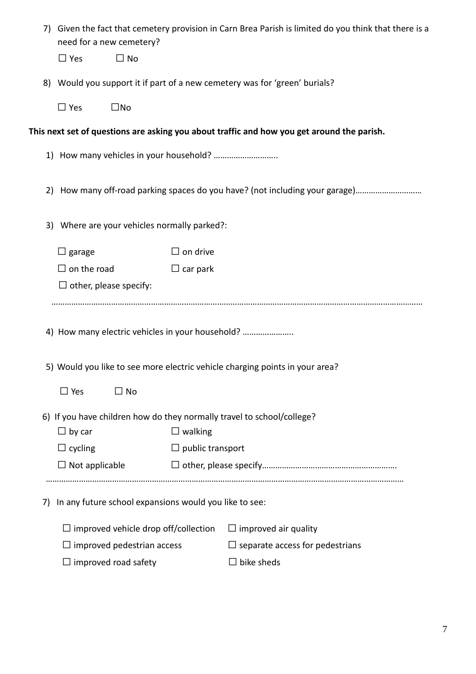|    | need for a new cemetery?                                                   |                         | 7) Given the fact that cemetery provision in Carn Brea Parish is limited do you think that there is a |
|----|----------------------------------------------------------------------------|-------------------------|-------------------------------------------------------------------------------------------------------|
|    | $\Box$ No<br>$\Box$ Yes                                                    |                         |                                                                                                       |
|    | 8) Would you support it if part of a new cemetery was for 'green' burials? |                         |                                                                                                       |
|    | $\Box$ Yes<br>$\square$ No                                                 |                         |                                                                                                       |
|    |                                                                            |                         | This next set of questions are asking you about traffic and how you get around the parish.            |
|    |                                                                            |                         |                                                                                                       |
|    |                                                                            |                         | 2) How many off-road parking spaces do you have? (not including your garage)                          |
|    | 3) Where are your vehicles normally parked?:                               |                         |                                                                                                       |
|    | $\Box$ garage                                                              | $\Box$ on drive         |                                                                                                       |
|    | $\Box$ on the road                                                         | $\Box$ car park         |                                                                                                       |
|    | $\Box$ other, please specify:                                              |                         |                                                                                                       |
|    |                                                                            |                         |                                                                                                       |
|    | 4) How many electric vehicles in your household?                           |                         |                                                                                                       |
|    |                                                                            |                         | 5) Would you like to see more electric vehicle charging points in your area?                          |
|    | $\Box$ Yes<br>$\Box$ No                                                    |                         |                                                                                                       |
|    | 6) If you have children how do they normally travel to school/college?     |                         |                                                                                                       |
|    | $\Box$ by car                                                              | $\Box$ walking          |                                                                                                       |
|    | $\Box$ cycling                                                             | $\Box$ public transport |                                                                                                       |
|    | $\Box$ Not applicable                                                      |                         |                                                                                                       |
|    |                                                                            |                         |                                                                                                       |
| 7) | In any future school expansions would you like to see:                     |                         |                                                                                                       |
|    | $\Box$ improved vehicle drop off/collection                                |                         | $\Box$ improved air quality                                                                           |
|    | $\Box$ improved pedestrian access                                          |                         | $\Box$ separate access for pedestrians                                                                |
|    | $\Box$ improved road safety                                                |                         | $\Box$ bike sheds                                                                                     |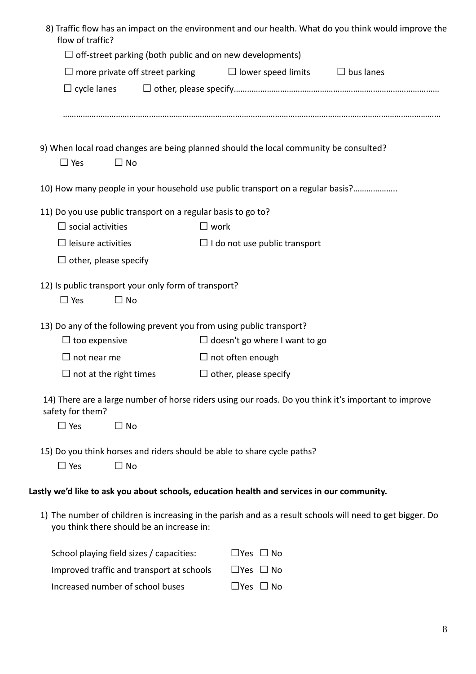| flow of traffic?                                                                                   | 8) Traffic flow has an impact on the environment and our health. What do you think would improve the      |
|----------------------------------------------------------------------------------------------------|-----------------------------------------------------------------------------------------------------------|
| $\Box$ off-street parking (both public and on new developments)                                    |                                                                                                           |
| $\Box$ more private off street parking                                                             | $\Box$ lower speed limits<br>$\Box$ bus lanes                                                             |
| $\Box$ cycle lanes                                                                                 |                                                                                                           |
| $\Box$ Yes<br>$\Box$ No                                                                            | 9) When local road changes are being planned should the local community be consulted?                     |
|                                                                                                    |                                                                                                           |
|                                                                                                    | 10) How many people in your household use public transport on a regular basis?                            |
| 11) Do you use public transport on a regular basis to go to?                                       |                                                                                                           |
| $\Box$ social activities                                                                           | $\square$ work                                                                                            |
| $\Box$ leisure activities                                                                          | $\Box$ I do not use public transport                                                                      |
| $\Box$ other, please specify                                                                       |                                                                                                           |
| 12) Is public transport your only form of transport?<br>$\Box$ Yes<br>$\Box$ No                    |                                                                                                           |
| 13) Do any of the following prevent you from using public transport?                               |                                                                                                           |
| $\Box$ too expensive                                                                               | $\Box$ doesn't go where I want to go                                                                      |
| $\Box$ not near me                                                                                 | $\Box$ not often enough                                                                                   |
| $\Box$ not at the right times                                                                      | $\Box$ other, please specify                                                                              |
| safety for them?                                                                                   | 14) There are a large number of horse riders using our roads. Do you think it's important to improve      |
| $\Box$ Yes<br>$\square$ No                                                                         |                                                                                                           |
| 15) Do you think horses and riders should be able to share cycle paths?<br>$\Box$ Yes<br>$\Box$ No |                                                                                                           |
|                                                                                                    | Lastly we'd like to ask you about schools, education health and services in our community.                |
| you think there should be an increase in:                                                          | 1) The number of children is increasing in the parish and as a result schools will need to get bigger. Do |
| School playing field sizes / capacities:                                                           | $\Box$ Yes $\Box$ No                                                                                      |
| Improved traffic and transport at schools                                                          | $\Box$ Yes $\Box$ No                                                                                      |
| Increased number of school buses                                                                   | $\Box$ Yes $\Box$ No                                                                                      |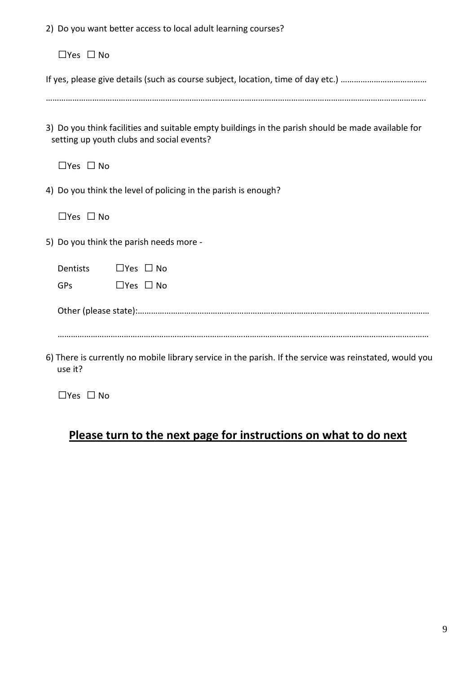2) Do you want better access to local adult learning courses?

◻Yes ◻ No

|--|--|--|--|--|--|--|

……………………………………………………………………………………………………………………………………………………….

3) Do you think facilities and suitable empty buildings in the parish should be made available for setting up youth clubs and social events?

◻Yes ◻ No

4) Do you think the level of policing in the parish is enough?

◻Yes ◻ No

5) Do you think the parish needs more -

Dentists □ Yes □ No  $GPs$   $\Box$  Yes  $\Box$  No

Other (please state):……………………………………………………………………………………………………………………

……………………………………………………………………………………………………………………………………………………

6) There is currently no mobile library service in the parish. If the service was reinstated, would you use it?

◻Yes ◻ No

# **Please turn to the next page for instructions on what to do next**